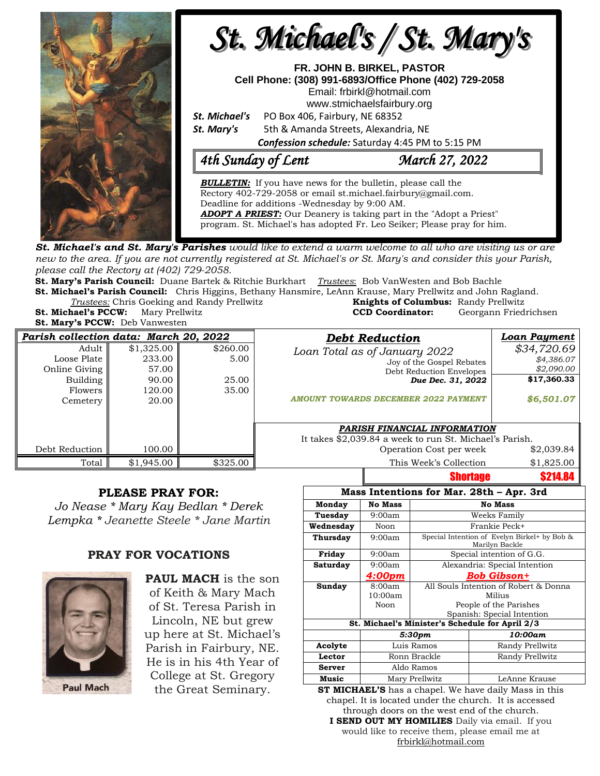

**St. Michael's and St. Mary's Parishes** would like to extend a warm welcome to all who are visiting us or are new to the area. If you are not currently registered at St. Michael's or St. Mary's and consider this your Parish, *please call the Rectory at (402) 729-2058.* 

**St. Mary's Parish Council:** Duane Bartek & Ritchie Burkhart *Trustees*: Bob VanWesten and Bob Bachle **St. Michael's Parish Council:** Chris Higgins, Bethany Hansmire, LeAnn Krause, Mary Prellwitz and John Ragland.

**Trustees:** Chris Goeking and Randy Prellwitz **St. Michael's PCCW:** Mary Prellwitz **CCD Coordinator:** Georgann Friedrichsen

**St. Mary's PCCW:** Deb Vanwesten

| <b>Knights of Columbus:</b> Randy Prellwitz |                       |
|---------------------------------------------|-----------------------|
| <b>CCD Coordinator:</b>                     | Georgann Friedrichser |
|                                             |                       |

| Parish collection data: March 20, 2022                                          |                                                           |                                    | <b>Debt Reduction</b>                                                                                                                                      | <b>Loan Payment</b>                                                  |
|---------------------------------------------------------------------------------|-----------------------------------------------------------|------------------------------------|------------------------------------------------------------------------------------------------------------------------------------------------------------|----------------------------------------------------------------------|
| Adult<br>Loose Plate<br>Online Giving<br>Building<br><b>Flowers</b><br>Cemetery | \$1,325.00<br>233.00<br>57.00<br>90.00<br>120.00<br>20.00 | \$260.00<br>5.00<br>25.00<br>35.00 | Loan Total as of January 2022<br>Joy of the Gospel Rebates<br>Debt Reduction Envelopes<br>Due Dec. 31, 2022<br><b>AMOUNT TOWARDS DECEMBER 2022 PAYMENT</b> | \$34,720.69<br>\$4,386.07<br>\$2,090.00<br>\$17,360.33<br>\$6,501.07 |
| Debt Reduction                                                                  | 100.00                                                    |                                    | PARISH FINANCIAL INFORMATION<br>It takes \$2,039.84 a week to run St. Michael's Parish.<br>Operation Cost per week                                         | \$2,039.84                                                           |
| Total                                                                           | \$1.945.00                                                | \$325.00                           | This Week's Collection                                                                                                                                     | \$1,825.00                                                           |
|                                                                                 |                                                           |                                    | <b>Shortage</b>                                                                                                                                            | <b>\$214.84</b>                                                      |

### **PLEASE PRAY FOR:**

*Jo Nease \* Mary Kay Bedlan \* Derek Lempka \* Jeanette Steele \* Jane Martin*

## **PRAY FOR VOCATIONS**



**PAUL MACH** is the son of Keith & Mary Mach of St. Teresa Parish in Lincoln, NE but grew up here at St. Michael's Parish in Fairbury, NE. He is in his 4th Year of College at St. Gregory

| Mass Intentions for Mar. 28th - Apr. 3rd        |                |                                                                |                 |  |  |  |
|-------------------------------------------------|----------------|----------------------------------------------------------------|-----------------|--|--|--|
| Monday                                          | <b>No Mass</b> |                                                                | No Mass         |  |  |  |
| Tuesday                                         | 9:00am         | Weeks Family                                                   |                 |  |  |  |
| Wednesday                                       | Noon           | Frankie Peck+                                                  |                 |  |  |  |
| Thursday                                        | 9:00am         | Special Intention of Evelyn Birkel+ by Bob &<br>Marilyn Backle |                 |  |  |  |
| Friday                                          | 9:00am         | Special intention of G.G.                                      |                 |  |  |  |
| Saturday                                        | 9:00am         | Alexandria: Special Intention                                  |                 |  |  |  |
|                                                 | 4:00pm         | Bob Gibson+                                                    |                 |  |  |  |
| Sunday                                          | 8:00am         | All Souls Intention of Robert & Donna                          |                 |  |  |  |
|                                                 | 10:00am        | Milius                                                         |                 |  |  |  |
|                                                 | Noon           | People of the Parishes                                         |                 |  |  |  |
|                                                 |                | Spanish: Special Intention                                     |                 |  |  |  |
| St. Michael's Minister's Schedule for April 2/3 |                |                                                                |                 |  |  |  |
|                                                 | 5:30pm         |                                                                | 10:00am         |  |  |  |
| Acolyte                                         | Luis Ramos     |                                                                | Randy Prellwitz |  |  |  |
| Lector                                          | Ronn Brackle   |                                                                | Randy Prellwitz |  |  |  |
| Server                                          | Aldo Ramos     |                                                                |                 |  |  |  |
| Music                                           | Mary Prellwitz |                                                                | LeAnne Krause   |  |  |  |

Shortage \$214.84

the Great Seminary. **ST MICHAEL'S** has a chapel. We have daily Mass in this chapel. It is located under the church. It is accessed through doors on the west end of the church. **I SEND OUT MY HOMILIES** Daily via email. If you would like to receive them, please email me at [frbirkl@hotmail.com](mailto:frbirkl@hotmail.com)